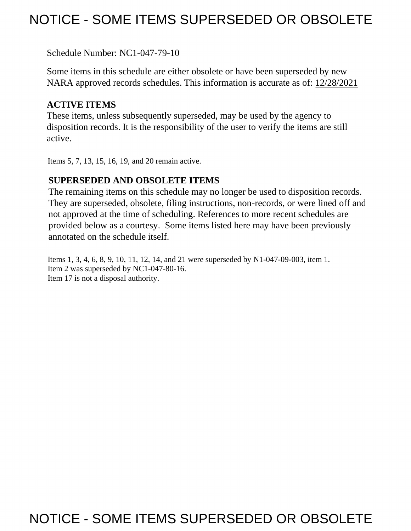## NOTICE - SOME ITEMS SUPERSEDED OR OBSOLETE

Schedule Number: NC1-047-79-10

 Some items in this schedule are either obsolete or have been superseded by new NARA approved records schedules. This information is accurate as of: 12/28/2021

## **ACTIVE ITEMS**

 These items, unless subsequently superseded, may be used by the agency to disposition records. It is the responsibility of the user to verify the items are still active.

Items 5, 7, 13, 15, 16, 19, and 20 remain active.

## **SUPERSEDED AND OBSOLETE ITEMS**

 The remaining items on this schedule may no longer be used to disposition records. not approved at the time of scheduling. References to more recent schedules are provided below as a courtesy. Some items listed here may have been previously They are superseded, obsolete, filing instructions, non-records, or were lined off and annotated on the schedule itself.

Items 1, 3, 4, 6, 8, 9, 10, 11, 12, 14, and 21 were superseded by N1-047-09-003, item 1. Item 2 was superseded by NC1-047-80-16. Item 17 is not a disposal authority.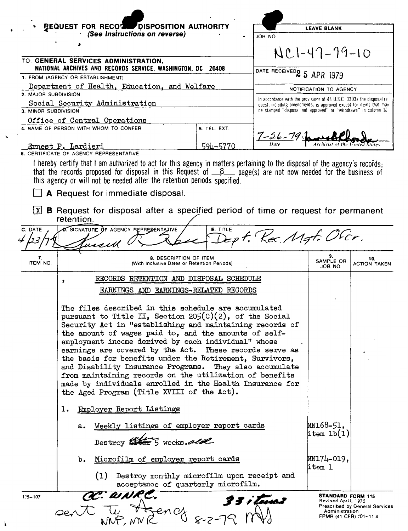|                      | BEQUEST FOR RECORD DISPOSITION AUTHORITY                                                                                                                                                                                                                                                                                                                                                                                                                                                                                                                                                                                                                                                                                                                                                                                                                                                                                                                         |              |                                                                                                                                       | <b>LEAVE BLANK</b>                                                                   |                                |
|----------------------|------------------------------------------------------------------------------------------------------------------------------------------------------------------------------------------------------------------------------------------------------------------------------------------------------------------------------------------------------------------------------------------------------------------------------------------------------------------------------------------------------------------------------------------------------------------------------------------------------------------------------------------------------------------------------------------------------------------------------------------------------------------------------------------------------------------------------------------------------------------------------------------------------------------------------------------------------------------|--------------|---------------------------------------------------------------------------------------------------------------------------------------|--------------------------------------------------------------------------------------|--------------------------------|
|                      | (See Instructions on reverse)                                                                                                                                                                                                                                                                                                                                                                                                                                                                                                                                                                                                                                                                                                                                                                                                                                                                                                                                    |              | JOB NO                                                                                                                                |                                                                                      |                                |
|                      | TO: GENERAL SERVICES ADMINISTRATION,                                                                                                                                                                                                                                                                                                                                                                                                                                                                                                                                                                                                                                                                                                                                                                                                                                                                                                                             |              |                                                                                                                                       | $NC1-47-79-10$                                                                       |                                |
|                      | NATIONAL ARCHIVES AND RECORDS SERVICE, WASHINGTON, DC 20408                                                                                                                                                                                                                                                                                                                                                                                                                                                                                                                                                                                                                                                                                                                                                                                                                                                                                                      |              | DATE RECEIVED <sub>2</sub> 5 APR 1979                                                                                                 |                                                                                      |                                |
|                      | 1. FROM (AGENCY OR ESTABLISHMENT)                                                                                                                                                                                                                                                                                                                                                                                                                                                                                                                                                                                                                                                                                                                                                                                                                                                                                                                                |              |                                                                                                                                       |                                                                                      |                                |
| 2. MAJOR SUBDIVISION | Department of Health, Education, and Welfare                                                                                                                                                                                                                                                                                                                                                                                                                                                                                                                                                                                                                                                                                                                                                                                                                                                                                                                     |              |                                                                                                                                       | NOTIFICATION TO AGENCY                                                               |                                |
|                      | Social Security Administration                                                                                                                                                                                                                                                                                                                                                                                                                                                                                                                                                                                                                                                                                                                                                                                                                                                                                                                                   |              | In accordance with the provisions of 44 U.S.C. 3303a the disposal re-                                                                 |                                                                                      |                                |
| 3. MINOR SUBDIVISION |                                                                                                                                                                                                                                                                                                                                                                                                                                                                                                                                                                                                                                                                                                                                                                                                                                                                                                                                                                  |              | quest, including amendments, is approved except for items that may<br>be stamped "disposal not approved" or "withdrawn" in column 10. |                                                                                      |                                |
|                      | Office of Central Operations                                                                                                                                                                                                                                                                                                                                                                                                                                                                                                                                                                                                                                                                                                                                                                                                                                                                                                                                     |              |                                                                                                                                       |                                                                                      |                                |
|                      | 4. NAME OF PERSON WITH WHOM TO CONFER                                                                                                                                                                                                                                                                                                                                                                                                                                                                                                                                                                                                                                                                                                                                                                                                                                                                                                                            | 5. TEL. EXT. |                                                                                                                                       |                                                                                      |                                |
|                      |                                                                                                                                                                                                                                                                                                                                                                                                                                                                                                                                                                                                                                                                                                                                                                                                                                                                                                                                                                  |              | $7 - 26 - 79$                                                                                                                         |                                                                                      | United State                   |
|                      | Ernest P. Lardieri<br>6. CERTIFICATE OF AGENCY REPRESENTATIVE:                                                                                                                                                                                                                                                                                                                                                                                                                                                                                                                                                                                                                                                                                                                                                                                                                                                                                                   | 594-5770     |                                                                                                                                       |                                                                                      |                                |
| x                    | I hereby certify that I am authorized to act for this agency in matters pertaining to the disposal of the agency's records;<br>that the records proposed for disposal in this Request of $B_{\text{max}}$ page(s) are not now needed for the business of<br>this agency or will not be needed after the retention periods specified.<br>A Request for immediate disposal.<br><b>B</b> Request for disposal after a specified period of time or request for permanent                                                                                                                                                                                                                                                                                                                                                                                                                                                                                             |              |                                                                                                                                       |                                                                                      |                                |
|                      | retention.                                                                                                                                                                                                                                                                                                                                                                                                                                                                                                                                                                                                                                                                                                                                                                                                                                                                                                                                                       |              |                                                                                                                                       |                                                                                      |                                |
| C. DATE<br>クマ        | O. SIGNATURE OF AGENCY REPRESENTATIVE<br>usell                                                                                                                                                                                                                                                                                                                                                                                                                                                                                                                                                                                                                                                                                                                                                                                                                                                                                                                   | E. TITLE     | Ept. Kec. Mgt. Ofcr.                                                                                                                  |                                                                                      |                                |
| 7.<br>ITEM NO.       | 8. DESCRIPTION OF ITEM<br>(With Inclusive Dates or Retention Periods)                                                                                                                                                                                                                                                                                                                                                                                                                                                                                                                                                                                                                                                                                                                                                                                                                                                                                            |              |                                                                                                                                       | 9.<br>SAMPLE OR<br>JOB NO.                                                           | 10.<br><b>ACTION TAKEN</b>     |
|                      | RECORDS RETENTION AND DISPOSAL SCHEDULE<br>,                                                                                                                                                                                                                                                                                                                                                                                                                                                                                                                                                                                                                                                                                                                                                                                                                                                                                                                     |              |                                                                                                                                       |                                                                                      |                                |
|                      |                                                                                                                                                                                                                                                                                                                                                                                                                                                                                                                                                                                                                                                                                                                                                                                                                                                                                                                                                                  |              |                                                                                                                                       |                                                                                      |                                |
| 115-107              | EARNINGS AND EARNINGS-RELATED RECORDS<br>The files described in this schedule are accumulated<br>pursuant to Title II, Section 205(C)(2), of the Social<br>Security Act in "establishing and maintaining records of<br>the amount of wages paid to, and the amounts of self-<br>employment income derived by each individual" whose<br>earnings are covered by the Act. These records serve as<br>the basis for benefits under the Retirement, Survivors,<br>and Disability Insurance Programs. They also accumulate<br>from maintaining records on the utilization of benefits<br>made by individuals enrolled in the Health Insurance for<br>the Aged Program (Title XVIII of the Act).<br>Employer Report Listings<br>ı.<br>Weekly listings of employer report cards<br>a.<br>Destroy \$165 5 weeks. also<br>Microfilm of employer report cards<br>b.<br>Destroy monthly microfilm upon receipt and<br>(1)<br>acceptance of quarterly microfilm.<br>CC: WNRC. |              |                                                                                                                                       | NN168-51,<br>$\text{item lb(1)}$<br>NN174-019,<br>item 1<br><b>STANDARD FORM 115</b> |                                |
|                      | sent the Agency 8-2-79 MM                                                                                                                                                                                                                                                                                                                                                                                                                                                                                                                                                                                                                                                                                                                                                                                                                                                                                                                                        |              |                                                                                                                                       | Revised April, 1975<br>Administration<br>FPMR (41 CFR) 101-11.4                      | Prescribed by General Services |

 $\ddot{\phantom{a}}$ 

 $\pmb{\lambda}$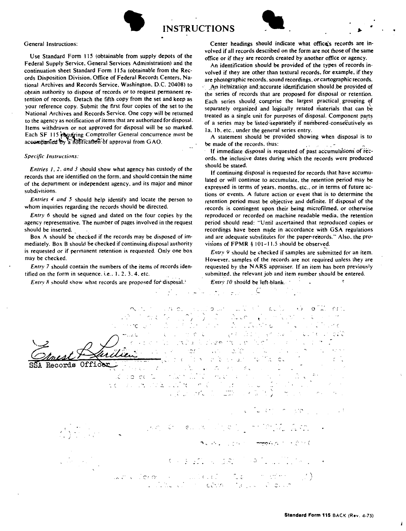



General Instructions:

Use Standard Form 115 (obtainable from supply depots of the Federal Supply Service. General Services Administration) and the continuation sheet Standard Form 115a (obtainable from the **Rec**ords Disposition Division. Office of Federal Records Centers. National Archives and Records Service. Washington. D.C. 20408) to obtain authority to dispose of records or to request permanent retention of records. Detach the fifth copy from the set and keep as your reference copy. Submit the first four copies of the set to the National Archives and Records Service. One copy will be returned to the agency as notification of items that are authorized for disposal. Items withdrawn or not approved for disposal will be so marked. Each SF 115 requiring Comptroller General concurrence must be accombanied  $\overline{v}$  a notification of approval from GAO.

## *Specific Instructions:*

*Entries I, 2, and 3* should show what agency has custody of the records that are identified on the form, and should contain the name of the department or independent agency. and its major and minor subdivisions.

*Entries 4 and 5* should help identify and locate the person to whom inquiries regarding the records should be directed.

*Entry 6* should be signed and dated on the four copies by the agency representative. The number of pages involved in the request should be inserted.

Box A should be checked if the records may be disposed of immediately. Box B should be checked if continuing disposal authority is requested or if permanent retention is requested. Only one box may be checked.

*Entry* 7 should contain the numbers of the items of records identified on the form in sequence. i.e.,  $1, 2, 3, 4$ , etc.

*Entry 8* should show what records are proposed for disposal.<sup>4</sup>

Center headings should indicate what office's records are involved if all records described on the form are not those of the same office or if they are records created by another office or agency.

An identification should be provided of the types of records involved if they are other than textural records, for example, if they are photographic records. sound recordings. or cartographic records.

An itemization and accurate identification should be provided of the series of records that are proposed for disposal or retention. Each series should comprise the largest practical grouping of separately organized and logically related materials that can be treated as a single unit for purposes of disposal. Component parts of a series may be listed separately if numbered-consecutively as Ia. 1b. etc., under the general series entry.

A statement should be provided showing when disposal is to be made of the records, thus:  $\qquad \qquad$ 

If immediate disposal is requested of past accumulations of records. **the** inclusive dates during which the records were produced should be stated.

If continuing disposal is requested for records that have accumulated or will continue to accumulate. the retention period may be expressed in terms of years, months, etc., or in terms of future actions or events. A future action or event that is to determine the retention period must be objective and definite. If disposal of the records is contingent upon their being microfilmed. or otherwise reproduced or recorded on machine readable media. the retention period should read: "Until ascertained that reproduced copies or recordings have been made in accordance with GSA regulations and are adequate substitutes for the paper-records." Also, the provisions of  $FPMR \$  101-11.5 should be observed.

*Entry 9* should be checked if samples are submitted for an item. However. samples of the records are not required unless they are requested by the **NA RS** appraiser. If an item has been previously submitted. the relevant job and item number should be entered.

*Entry 10* should be left-blank.

the search

C

. *)* () السراه ليبادين  $C1$ 毛虫  $\mathbb{R}^{\mathbb{Z}}$ ger Birgi Superint Library ios f  $\mathcal{A}^{\mathcal{A}}$  . la la . J. Records Off  $\alpha_s$   $C$ indier i i a celo za kultivo i e č  $\sim$  .  $\sim$  $\therefore$ ilin full li *j*  ... mondation of the wa Cleron (C. C. L. Cord)<br>Thurst Constant ' \ filip in  $\mathcal{L}^{\mathcal{L}}=\mathsf{C}\mathsf{C}\mathsf{C}\mathcal{D}$  $\mathcal{N}_{\mathcal{A}}$  . In the  $\mathcal{N}_{\mathcal{A}}$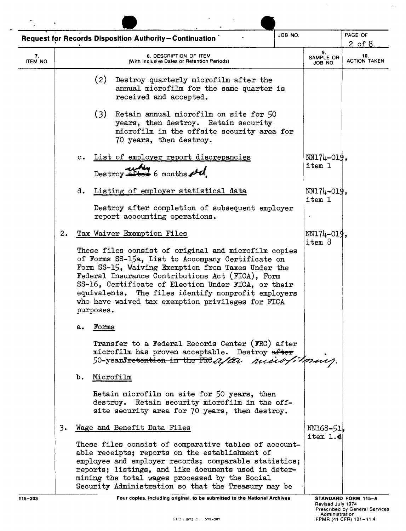|                |    | JOB NO.<br><b>Request for Records Disposition Authority-Continuation</b>                                                                                                                                                                                                                                                                                                                            |                            | PAGE OF<br>$2$ of $8$      |
|----------------|----|-----------------------------------------------------------------------------------------------------------------------------------------------------------------------------------------------------------------------------------------------------------------------------------------------------------------------------------------------------------------------------------------------------|----------------------------|----------------------------|
| 7.<br>ITEM NO. |    | <b>8. DESCRIPTION OF ITEM</b><br>(With Inclusive Dates or Retention Periods)                                                                                                                                                                                                                                                                                                                        | 9.<br>SAMPLE OR<br>JOB NO. | 10.<br><b>ACTION TAKEN</b> |
|                |    | (2)<br>Destroy quarterly microfilm after the<br>annual microfilm for the same quarter is<br>received and accepted.                                                                                                                                                                                                                                                                                  |                            |                            |
|                |    | (3)<br>Retain annual microfilm on site for 50<br>years, then destroy. Retain security<br>microfilm in the offsite security area for<br>70 years, then destroy.                                                                                                                                                                                                                                      |                            |                            |
|                |    | List of employer report discrepancies<br>$\mathbf{c}$ .<br>Destroy $\frac{1}{2}$ bestroy $\frac{1}{2}$                                                                                                                                                                                                                                                                                              | $NNI7L-019$ ,<br>item 1    |                            |
|                |    | Listing of employer statistical data<br>d.<br>Destroy after completion of subsequent employer<br>report accounting operations.                                                                                                                                                                                                                                                                      | $NNI74-019$ .<br>item 1    |                            |
|                | 2. | Tax Waiver Exemption Files                                                                                                                                                                                                                                                                                                                                                                          | $NNI74-019$ ,<br>item 8    |                            |
|                |    | These files consist of original and microfilm copies<br>of Forms SS-15a, List to Accompany Certificate on<br>Form SS-15, Waiving Exemption from Taxes Under the<br>Federal Insurance Contributions Act (FICA), Form<br>SS-16, Certificate of Election Under FICA, or their<br>equivalents. The files identify nonprofit employers<br>who have waived tax exemption privileges for FICA<br>purposes. |                            |                            |
|                |    | rorms<br>а.<br>Transfer to a Federal Records Center (FRC) after<br>microfilm has proven acceptable. Destroy after                                                                                                                                                                                                                                                                                   |                            |                            |
|                |    | 50-years retention in the FRE after nuclear filmus.<br>ъ.<br>Microfilm                                                                                                                                                                                                                                                                                                                              |                            |                            |
|                |    | Retain microfilm on site for 50 years, then<br>destroy. Retain security microfilm in the off-<br>site security area for 70 years, then destroy.                                                                                                                                                                                                                                                     |                            |                            |
|                | 3. | Wage and Benefit Data Files                                                                                                                                                                                                                                                                                                                                                                         | NN168-51<br>item 1.d       |                            |
|                |    | These files consist of comparative tables of account-<br>able receipts; reports on the establishment of<br>employee and employer records; comparable statistics;<br>reports; listings, and like documents used in deter-<br>mining the total wages processed by the Social<br>Security Administration so that the Treasury may be                                                                   |                            |                            |
| 115-203        |    | Four copies, including original, to be submitted to the National Archives                                                                                                                                                                                                                                                                                                                           | <b>Deviced July 1074</b>   | STANDARD FORM 115-A        |

 $\mathcal{A}=\{x_1,\ldots,x_n\}$  ,  $\mathcal{A}=\{x_1,\ldots,x_n\}$ 

Revised July 1974<br>Prescribed by General Services<br>Administration = Administration<br>FPMR (41 CFR) 101–11.4

 $\omega_{\rm{max}}$ 

 $\sqrt{2}$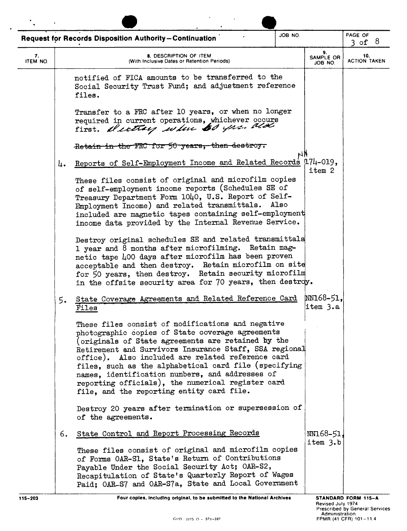|                |    | <b>Request for Records Disposition Authority-Continuation</b>                                                                                                                                                                                                                                                                                                                                                                                                                            | JOB NO. |                                     | PAGE OF<br>$3$ of $8$                                               |
|----------------|----|------------------------------------------------------------------------------------------------------------------------------------------------------------------------------------------------------------------------------------------------------------------------------------------------------------------------------------------------------------------------------------------------------------------------------------------------------------------------------------------|---------|-------------------------------------|---------------------------------------------------------------------|
| 7.<br>ITEM NO. |    | 8. DESCRIPTION OF ITEM<br>(With Inclusive Dates or Retention Periods)                                                                                                                                                                                                                                                                                                                                                                                                                    |         | 9.<br>SAMPLE OR<br>JOB NO.          | 10.<br><b>ACTION TAKEN</b>                                          |
|                |    | notified of FICA amounts to be transferred to the<br>Social Security Trust Fund; and adjustment reference<br>files.                                                                                                                                                                                                                                                                                                                                                                      |         |                                     |                                                                     |
|                |    | Transfer to a FRC after 10 years, or when no longer<br>required in current operations, whichever occurs<br>first. Meeting when 60 yrs. ald                                                                                                                                                                                                                                                                                                                                               |         |                                     |                                                                     |
|                |    | Retain in the FRC for 50 years, then destroy.                                                                                                                                                                                                                                                                                                                                                                                                                                            |         |                                     |                                                                     |
|                | 4. | Reports of Self-Employment Income and Related Records [174-019,                                                                                                                                                                                                                                                                                                                                                                                                                          |         | item 2                              |                                                                     |
|                |    | These files consist of original and microfilm copies<br>of self-employment income reports (Schedules SE of<br>Treasury Department Form 1040, U.S. Report of Self-<br>Employment Income) and related transmittals. Also<br>included are magnetic tapes containing self-employment<br>income data provided by the Internal Revenue Service.                                                                                                                                                |         |                                     |                                                                     |
|                |    | Destroy original schedules SE and related transmittals<br>1 year and 8 months after microfilming. Retain mag-<br>netic tape 400 days after microfilm has been proven<br>acceptable and then destroy. Retain microfilm on site<br>for 50 years, then destroy. Retain security microfilm<br>in the offsite security area for 70 years, then destroy.                                                                                                                                       |         |                                     |                                                                     |
|                | 5. | State Coverage Agreements and Related Reference Card<br>Files                                                                                                                                                                                                                                                                                                                                                                                                                            |         | MN168-51,<br>item 3.a               |                                                                     |
|                |    | These files consist of modifications and negative<br>photographic copies of State coverage agreements<br>(originals of State agreements are retained by the<br>Retirement and Survivors Insurance Staff, SSA regional<br>office). Also included are related reference card<br>files, such as the alphabetical card file (specifying<br>names, identification numbers, and addresses of<br>reporting officials), the numerical register card<br>file, and the reporting entity card file. |         |                                     |                                                                     |
|                |    | Destroy 20 years after termination or supersession of<br>of the agreements.                                                                                                                                                                                                                                                                                                                                                                                                              |         |                                     |                                                                     |
|                | 6. | State Control and Report Processing Records<br>These files consist of original and microfilm copies<br>of Forms OAR-S1, State's Return of Contributions<br>Payable Under the Social Security Act; OAR-S2,<br>Recapitulation of State's Quarterly Report of Wages<br>Paid; OAR-S7 and OAR-S7a, State and Local Government                                                                                                                                                                 |         | $NN168 - 51$<br>item 3.b            |                                                                     |
| 115-203        |    | Four copies, including original, to be submitted to the National Archives                                                                                                                                                                                                                                                                                                                                                                                                                |         | Revised July 1974<br>Administration | <b>STANDARD FORM 115-A</b><br><b>Prescribed by General Services</b> |

 $\mathcal{L}^{\mathcal{L}}(\mathcal{L}^{\mathcal{L}}(\mathcal{L}^{\mathcal{L}}(\mathcal{L}^{\mathcal{L}}(\mathcal{L}^{\mathcal{L}}(\mathcal{L}^{\mathcal{L}}(\mathcal{L}^{\mathcal{L}}(\mathcal{L}^{\mathcal{L}}(\mathcal{L}^{\mathcal{L}}(\mathcal{L}^{\mathcal{L}}(\mathcal{L}^{\mathcal{L}}(\mathcal{L}^{\mathcal{L}}(\mathcal{L}^{\mathcal{L}}(\mathcal{L}^{\mathcal{L}}(\mathcal{L}^{\mathcal{L}}(\mathcal{L}^{\mathcal{L}}(\mathcal{L}^{\mathcal{L$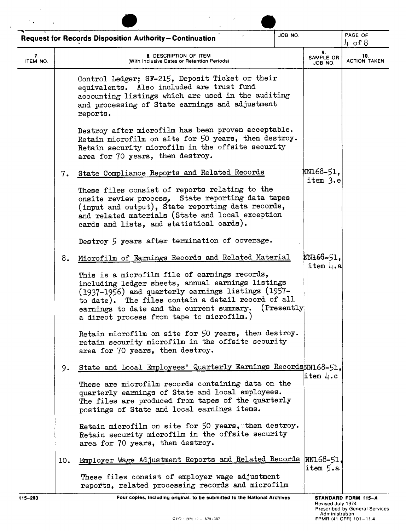|                |     | <b>Request for Records Disposition Authority-Continuation</b>                                                                                                                                                                                                                                                                                                  | JOB NO.     |                            | PAGE OF<br>4 of $8$        |  |
|----------------|-----|----------------------------------------------------------------------------------------------------------------------------------------------------------------------------------------------------------------------------------------------------------------------------------------------------------------------------------------------------------------|-------------|----------------------------|----------------------------|--|
| 7.<br>ITEM NO. |     | 8. DESCRIPTION OF ITEM<br>(With Inclusive Dates or Retention Periods)                                                                                                                                                                                                                                                                                          |             | 9.<br>SAMPLE OR<br>JOB NO. | 10.<br><b>ACTION TAKEN</b> |  |
|                |     | Control Ledger; SF-215, Deposit Ticket or their<br>equivalents. Also included are trust fund<br>accounting listings which are used in the auditing<br>and processing of State earnings and adjustment<br>reports.                                                                                                                                              |             |                            |                            |  |
|                |     | Destroy after microfilm has been proven acceptable.<br>Retain microfilm on site for 50 years, then destroy.<br>Retain security microfilm in the offsite security<br>area for 70 years, then destroy.                                                                                                                                                           |             |                            |                            |  |
|                | 7.  | State Compliance Reports and Related Records<br>These files consist of reports relating to the<br>onsite review process, State reporting data tapes<br>(input and output), State reporting data records,<br>and related materials (State and local exception                                                                                                   |             | \M168-51,<br>item 3.e      |                            |  |
|                |     | cards and lists, and statistical cards).<br>Destroy 5 years after termination of coverage.                                                                                                                                                                                                                                                                     |             |                            |                            |  |
|                | 8.  | Microfilm of Earnings Records and Related Material<br>This is a microfilm file of earnings records,<br>including ledger sheets, annual earnings listings<br>(1937-1956) and quarterly earnings listings (1957-<br>to date). The files contain a detail record of all<br>earnings to date and the current summary.<br>a direct process from tape to microfilm.) | (Presently) | MN166-51,<br>item 4.a      |                            |  |
|                |     | Retain microfilm on site for 50 years, then destroy.<br>retain security microfilm in the offsite security<br>area for 70 years, then destroy.                                                                                                                                                                                                                  |             |                            |                            |  |
|                | 9.  | State and Local Employees' Quarterly Earnings Records M168-51.<br>These are microfilm records containing data on the<br>quarterly earnings of State and local employees.<br>The files are produced from tapes of the quarterly<br>postings of State and local earnings items.                                                                                  |             | item $l1$ .c               |                            |  |
|                |     | Retain microfilm on site for 50 years, then destroy.<br>Retain security microfilm in the offsite security<br>area for 70 years, then destroy.                                                                                                                                                                                                                  |             |                            |                            |  |
|                | 10. | Employer Wage Adjustment Reports and Related Records NN168-51.<br>These files consist of employer wage adjustment<br>reports, related processing records and microfilm                                                                                                                                                                                         |             | item 5.a                   |                            |  |
| 115-203        |     | Four copies, including original, to be submitted to the National Archives                                                                                                                                                                                                                                                                                      |             | Roviced July 1974          | STANDARD FORM 115-A        |  |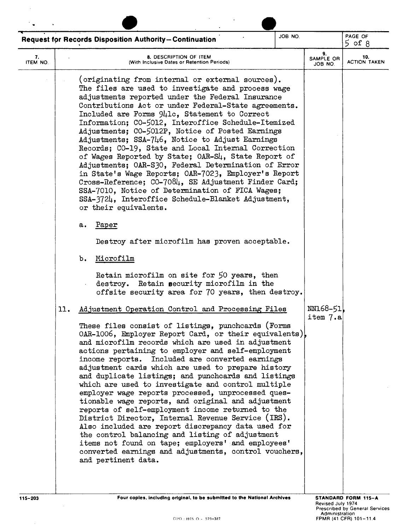|                | JOB NO.<br>Request for Records Disposition Authority-Continuation                                                                                                                                                                                                                                                                                                                                                                                                                                                                                                                                                                                                                                                                                                                                                                                                                                                                                                                                                                                                                                                                                                                                                                                                                                                                                                                                                                                                                                                                                                                                                                                                                                                                                                                                                                                                                                                                                                                                                                                                            |                            | PAGE OF<br>$5$ of $8$      |
|----------------|------------------------------------------------------------------------------------------------------------------------------------------------------------------------------------------------------------------------------------------------------------------------------------------------------------------------------------------------------------------------------------------------------------------------------------------------------------------------------------------------------------------------------------------------------------------------------------------------------------------------------------------------------------------------------------------------------------------------------------------------------------------------------------------------------------------------------------------------------------------------------------------------------------------------------------------------------------------------------------------------------------------------------------------------------------------------------------------------------------------------------------------------------------------------------------------------------------------------------------------------------------------------------------------------------------------------------------------------------------------------------------------------------------------------------------------------------------------------------------------------------------------------------------------------------------------------------------------------------------------------------------------------------------------------------------------------------------------------------------------------------------------------------------------------------------------------------------------------------------------------------------------------------------------------------------------------------------------------------------------------------------------------------------------------------------------------------|----------------------------|----------------------------|
| 7.<br>ITEM NO. | 8. DESCRIPTION OF ITEM<br>(With Inclusive Dates or Retention Periods)                                                                                                                                                                                                                                                                                                                                                                                                                                                                                                                                                                                                                                                                                                                                                                                                                                                                                                                                                                                                                                                                                                                                                                                                                                                                                                                                                                                                                                                                                                                                                                                                                                                                                                                                                                                                                                                                                                                                                                                                        | 9.<br>SAMPLE OR<br>JOB NO. | 10.<br><b>ACTION TAKEN</b> |
| 11.            | (originating from internal or external sources).<br>The files are used to investigate and process wage<br>adjustments reported under the Federal Insurance<br>Contributions Act or under Federal-State agreements.<br>Included are Forms 941c, Statement to Correct<br>Information; CO-5012, Interoffice Schedule-Itemized<br>Adjustments; CO-5012P, Notice of Posted Earnings<br>Adjustments; SSA-746, Notice to Adjust Earnings<br>Records; CO-19, State and Local Internal Correction<br>of Wages Reported by State; OAR-S4, State Report of<br>Adjustments; OAR-S30, Federal Determination of Error<br>in State's Wage Reports; OAR-7023, Employer's Report<br>Cross-Reference; CO-7084, SE Adjustment Finder Card;<br>SSA-7010, Notice of Determination of FICA Wages;<br>SSA-3724, Interoffice Schedule-Blanket Adjustment,<br>or their equivalents.<br>Paper<br>а.<br>Destroy after microfilm has proven acceptable.<br>Microfilm<br>b.<br>Retain microfilm on site for 50 years, then<br>destroy. Retain security microfilm in the<br>offsite security area for 70 years, then destroy.<br>Adjustment Operation Control and Processing Files<br>These files consist of listings, punchcards (Forms<br>OAR-1006, Employer Report Card, or their equivalents),<br>and microfilm records which are used in adjustment<br>actions pertaining to employer and self-employment<br>income reports. Included are converted earnings<br>adjustment cards which are used to prepare history<br>and duplicate listings; and punchcards and listings<br>which are used to investigate and control multiple<br>employer wage reports processed, unprocessed ques-<br>tionable wage reports, and original and adjustment<br>reports of self-employment income returned to the<br>District Director, Internal Revenue Service (IRS).<br>Also included are report discrepancy data used for<br>the control balancing and listing of adjustment<br>items not found on tape; employers' and employees'<br>converted earnings and adjustments, control vouchers,<br>and pertinent data. | NN168-51<br>item 7.a       |                            |
|                |                                                                                                                                                                                                                                                                                                                                                                                                                                                                                                                                                                                                                                                                                                                                                                                                                                                                                                                                                                                                                                                                                                                                                                                                                                                                                                                                                                                                                                                                                                                                                                                                                                                                                                                                                                                                                                                                                                                                                                                                                                                                              |                            |                            |

 $\mathcal{A}^{\mathcal{A}}$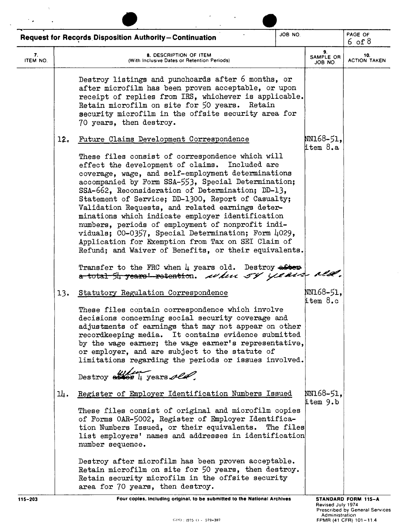| JOB NO.<br><b>Request for Records Disposition Authority-Continuation</b> |     |                                                                                                                                                                                                                                                                                                                                                                                                                                                                                                                                                                                                                                                               |                            | PAGE OF<br>6 of 8          |
|--------------------------------------------------------------------------|-----|---------------------------------------------------------------------------------------------------------------------------------------------------------------------------------------------------------------------------------------------------------------------------------------------------------------------------------------------------------------------------------------------------------------------------------------------------------------------------------------------------------------------------------------------------------------------------------------------------------------------------------------------------------------|----------------------------|----------------------------|
| 7.<br>ITEM NO.                                                           |     | 8. DESCRIPTION OF ITEM<br>(With Inclusive Dates or Retention Periods)                                                                                                                                                                                                                                                                                                                                                                                                                                                                                                                                                                                         | 9.<br>SAMPLE OR<br>JOB NO. | 10.<br><b>ACTION TAKEN</b> |
|                                                                          |     | Destroy listings and punchcards after 6 months, or<br>after microfilm has been proven acceptable, or upon<br>receipt of replies from IRS, whichever is applicable.<br>Retain microfilm on site for 50 years. Retain<br>security microfilm in the offsite security area for<br>70 years, then destroy.                                                                                                                                                                                                                                                                                                                                                         |                            |                            |
|                                                                          | 12. | Future Claims Development Correspondence                                                                                                                                                                                                                                                                                                                                                                                                                                                                                                                                                                                                                      | NN168-51,<br>$time$ $8.a$  |                            |
|                                                                          |     | These files consist of correspondence which will<br>effect the development of claims. Included are<br>coverage, wage, and self-employment determinations<br>accompanied by Form SSA-553, Special Determination;<br>SSA-662, Reconsideration of Determination; DD-13,<br>Statement of Service; DD-1300, Report of Casualty;<br>Validation Requests, and related earnings deter-<br>minations which indicate employer identification<br>numbers, periods of employment of nonprofit indi-<br>viduals; CO-0357, Special Determination; Form 4029,<br>Application for Exemption from Tax on SEI Claim of<br>Refund; and Waiver of Benefits, or their equivalents. |                            |                            |
|                                                                          |     | Transfer to the FRC when 4 years old. Destroy aster<br>a total 54 years' retention. when 54 years alle.                                                                                                                                                                                                                                                                                                                                                                                                                                                                                                                                                       |                            |                            |
|                                                                          | 13. | Statutory Regulation Correspondence<br>These files contain correspondence which involve<br>decisions concerning social security coverage and<br>adjustments of earnings that may not appear on other<br>recordkeeping media. It contains evidence submitted<br>by the wage earner; the wage earner's representative,<br>or employer, and are subject to the statute of<br>limitations regarding the periods or issues involved.<br>Destroy also 4 years old.                                                                                                                                                                                                  | NN168-51,<br>item 8.c      |                            |
|                                                                          | 과.  | Register of Employer Identification Numbers Issued                                                                                                                                                                                                                                                                                                                                                                                                                                                                                                                                                                                                            | NN168-51,                  |                            |
|                                                                          |     | These files consist of original and microfilm copies<br>of Forms OAR-5002, Register of Employer Identifica-<br>tion Numbers Issued, or their equivalents. The files<br>list employers' names and addresses in identification<br>number sequence.                                                                                                                                                                                                                                                                                                                                                                                                              | item 9.b                   |                            |
|                                                                          |     | Destroy after microfilm has been proven acceptable.<br>Retain microfilm on site for 50 years, then destroy.<br>Retain security microfilm in the offsite security<br>area for 70 years, then destroy.                                                                                                                                                                                                                                                                                                                                                                                                                                                          |                            |                            |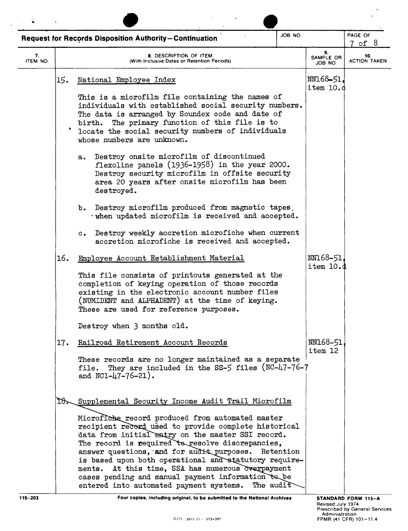|                                                               |     |                                                                                                                                                                                                                                                                                                                                                                                                                                                                                                   | JOB NO. |                            |                            |
|---------------------------------------------------------------|-----|---------------------------------------------------------------------------------------------------------------------------------------------------------------------------------------------------------------------------------------------------------------------------------------------------------------------------------------------------------------------------------------------------------------------------------------------------------------------------------------------------|---------|----------------------------|----------------------------|
| <b>Request for Records Disposition Authority-Continuation</b> |     | PAGE OF<br>7 of 8                                                                                                                                                                                                                                                                                                                                                                                                                                                                                 |         |                            |                            |
| 7.<br>ITEM NO.                                                |     | 8. DESCRIPTION OF ITEM<br>(With Inclusive Dates or Retention Periods)                                                                                                                                                                                                                                                                                                                                                                                                                             |         | 9.<br>SAMPLE OR<br>JOB NO. | 10.<br><b>ACTION TAKEN</b> |
|                                                               | 15. | National Employee Index                                                                                                                                                                                                                                                                                                                                                                                                                                                                           |         | NN168-51,<br>item 10.d     |                            |
|                                                               |     | This is a microfilm file containing the names of<br>individuals with established social security numbers.<br>The data is arranged by Soundex code and date of<br>birth. The primary function of this file is to<br>locate the social security numbers of individuals<br>whose numbers are unknown.                                                                                                                                                                                                |         |                            |                            |
|                                                               |     | Destroy onsite microfilm of discontinued<br>$a_{\bullet}$<br>flexoline panels $(1936-1958)$ in the year 2000.<br>Destroy security microfilm in offsite security<br>area 20 years after onsite microfilm has been<br>destroyed.                                                                                                                                                                                                                                                                    |         |                            |                            |
|                                                               |     | Destroy microfilm produced from magnetic tapes,<br>b.<br>. when updated microfilm is received and accepted.                                                                                                                                                                                                                                                                                                                                                                                       |         |                            |                            |
|                                                               |     | Destroy weekly accretion microfiche when current<br>$\mathbf{c}$ .<br>accretion microfiche is received and accepted.                                                                                                                                                                                                                                                                                                                                                                              |         |                            |                            |
|                                                               | 16. | Employee Account Establishment Material                                                                                                                                                                                                                                                                                                                                                                                                                                                           |         | NN168-51,<br>item 10.d     |                            |
|                                                               |     | This file consists of printouts generated at the<br>completion of keying operation of those records<br>existing in the electronic account number files<br>(NUMIDENT and ALPHADENT) at the time of keying.<br>These are used for reference purposes.                                                                                                                                                                                                                                               |         |                            |                            |
|                                                               |     | Destroy when 3 months old.                                                                                                                                                                                                                                                                                                                                                                                                                                                                        |         |                            |                            |
|                                                               | 17. | Railroad Retirement Account Records                                                                                                                                                                                                                                                                                                                                                                                                                                                               |         | NN168-51,<br>item 12       |                            |
|                                                               |     | These records are no longer maintained as a separate<br>file. They are included in the SS-5 files (NC-47-76-7<br>and $NC1-47-76-21$ .                                                                                                                                                                                                                                                                                                                                                             |         |                            |                            |
|                                                               | To. | Supplemental Security Income Audit Trail Microfilm                                                                                                                                                                                                                                                                                                                                                                                                                                                |         |                            |                            |
|                                                               |     | Microfiche record produced from automated master<br>recipient record used to provide complete historical<br>data from initial entry on the master SSI record.<br>The record is required to resolve discrepancies,<br>answer questions, and for audit purposes. Retention<br>is based upon both operational and statutory require-<br>ments. At this time, SSA has numerous overpayment<br>cases pending and manual payment information to be<br>entered into automated payment systems. The audit |         |                            |                            |

**115-203 Four copies, including original, to be submitted to the National Archives**